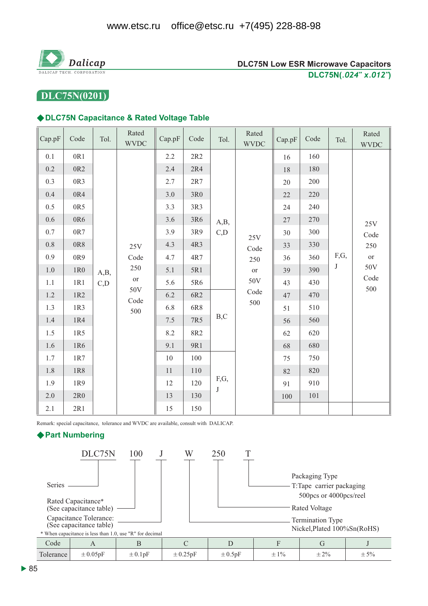

# DLC75N(0201)

#### DLC75N Capacitance & Rated Voltage Table

| Cap.pF  | Code            | Tol. | Rated<br><b>WVDC</b>                                                     | Cap.pF | Code | Tol.                | Rated<br><b>WVDC</b> | Cap.pF | Code | Tol.      | Rated<br><b>WVDC</b>            |     |
|---------|-----------------|------|--------------------------------------------------------------------------|--------|------|---------------------|----------------------|--------|------|-----------|---------------------------------|-----|
| 0.1     | 0R1             |      |                                                                          | 2.2    | 2R2  | A,B,<br>C,D<br>B, C | $25\mathrm{V}$       | 16     | 160  |           | 25V<br>Code                     |     |
| $0.2\,$ | 0R <sub>2</sub> |      |                                                                          | 2.4    | 2R4  |                     |                      | 18     | 180  |           |                                 |     |
| 0.3     | 0R3             |      |                                                                          | 2.7    | 2R7  |                     |                      | 20     | 200  |           |                                 |     |
| 0.4     | 0R4             |      |                                                                          | 3.0    | 3R0  |                     |                      | 22     | 220  |           |                                 |     |
| 0.5     | 0R5             |      |                                                                          | 3.3    | 3R3  |                     |                      | 24     | 240  |           |                                 |     |
| 0.6     | 0R6             |      |                                                                          | 3.6    | 3R6  |                     |                      | 27     | 270  |           |                                 |     |
| 0.7     | 0R7             |      |                                                                          | 3.9    | 3R9  |                     |                      | 30     | 300  |           |                                 |     |
| $0.8\,$ | 0R8             |      | 25V<br>Code<br>250<br>A,B,<br>$\hbox{or}\hskip2pt$<br>50V<br>Code<br>500 | 4.3    | 4R3  |                     |                      | Code   | 33   | 330       |                                 | 250 |
| 0.9     | 0R9             |      |                                                                          | 4.7    | 4R7  |                     | 250<br>or<br>50V     | 36     | 360  | F,G,<br>J | <b>or</b><br>50V<br>Code<br>500 |     |
| $1.0\,$ | 1R0             |      |                                                                          | 5.1    | 5R1  |                     |                      | 39     | 390  |           |                                 |     |
| 1.1     | 1R1             | C, D |                                                                          | 5.6    | 5R6  |                     |                      | 43     | 430  |           |                                 |     |
| $1.2\,$ | 1R2             |      |                                                                          | 6.2    | 6R2  |                     | Code                 | 47     | 470  |           |                                 |     |
| 1.3     | 1R3             |      |                                                                          | 6.8    | 6R8  |                     | 500                  |        | 51   | 510       |                                 |     |
| 1.4     | 1R4             |      |                                                                          | 7.5    | 7R5  |                     |                      |        | 56   | 560       |                                 |     |
| 1.5     | 1R5             |      |                                                                          | 8.2    | 8R2  |                     |                      | 62     | 620  |           |                                 |     |
| 1.6     | 1R6             |      |                                                                          | 9.1    | 9R1  |                     |                      | 68     | 680  |           |                                 |     |
| 1.7     | 1R7             |      |                                                                          | 10     | 100  | F,G,<br>$\bf J$     |                      | 75     | 750  |           |                                 |     |
| 1.8     | 1R8             |      |                                                                          | 11     | 110  |                     |                      | 82     | 820  |           |                                 |     |
| 1.9     | 1R9             |      |                                                                          | 12     | 120  |                     |                      |        | 91   | 910       |                                 |     |
| $2.0\,$ | 2R0             |      |                                                                          | 13     | 130  |                     |                      |        |      | 100       | 101                             |     |
| 2.1     | 2R1             |      |                                                                          |        |      | 15                  | 150                  |        |      |           |                                 |     |

Remark: special capacitance, tolerance and WVDC are available, consult with DALICAP.

### ▶ Part Numbering

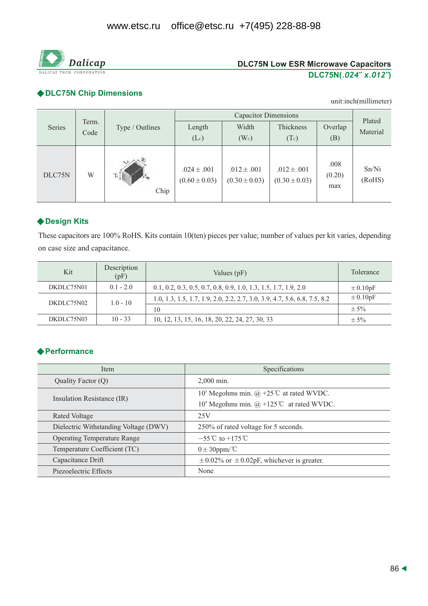

## ◆ DLC75N Chip Dimensions

unit:inch(millimeter)

|        | Term.<br>Code |                 |                                      |                                      |                                      |                       |                    |  |
|--------|---------------|-----------------|--------------------------------------|--------------------------------------|--------------------------------------|-----------------------|--------------------|--|
| Series |               | Type / Outlines | Length                               | Width                                | Thickness                            | Overlap               | Plated<br>Material |  |
|        |               |                 | (Lc)                                 | $(W_c)$                              | (Tc)                                 | (B)                   |                    |  |
| DLC75N | W             | Tc<br>Chip      | $.024 \pm .001$<br>$(0.60 \pm 0.03)$ | $.012 \pm .001$<br>$(0.30 \pm 0.03)$ | $.012 \pm .001$<br>$(0.30 \pm 0.03)$ | .008<br>(0.20)<br>max | Sn/Ni<br>(RoHS)    |  |

## ◆ Design Kits

These capacitors are 100% RoHS. Kits contain 10(ten) pieces per value; number of values per kit varies, depending on case size and capacitance.

| Kit        | Description<br>(pF) | Values $(pF)$                                                             | Tolerance    |
|------------|---------------------|---------------------------------------------------------------------------|--------------|
| DKDLC75N01 | $0.1 - 2.0$         | $0.1, 0.2, 0.3, 0.5, 0.7, 0.8, 0.9, 1.0, 1.3, 1.5, 1.7, 1.9, 2.0$         | $\pm 0.10pF$ |
| DKDLC75N02 | $1.0 - 10$          | 1.0, 1.3, 1.5, 1.7, 1.9, 2.0, 2.2, 2.7, 3.0, 3.9, 4.7, 5.6, 6.8, 7.5, 8.2 | $\pm 0.10pF$ |
|            |                     | 10                                                                        | $\pm$ 5%     |
| DKDLC75N03 | $10 - 33$           | 10, 12, 13, 15, 16, 18, 20, 22, 24, 27, 30, 33                            | $\pm$ 5%     |

## **◆ Performance**

| <b>Item</b>                           | Specifications                                                                     |  |  |
|---------------------------------------|------------------------------------------------------------------------------------|--|--|
| Quality Factor (Q)                    | $2.000$ min.                                                                       |  |  |
|                                       | 10 <sup>5</sup> Megohms min. @ +25 <sup>°</sup> C at rated WVDC.                   |  |  |
| Insulation Resistance (IR)            | 10 <sup>4</sup> Megohms min. $(\hat{\omega}) + 125^{\circ}\text{C}$ at rated WVDC. |  |  |
| Rated Voltage                         | 25V                                                                                |  |  |
| Dielectric Withstanding Voltage (DWV) | 250% of rated voltage for 5 seconds.                                               |  |  |
| <b>Operating Temperature Range</b>    | $-55^{\circ}$ C to $+175^{\circ}$ C                                                |  |  |
| Temperature Coefficient (TC)          | $0 \pm 30$ ppm/°C                                                                  |  |  |
| Capacitance Drift                     | $\pm$ 0.02% or $\pm$ 0.02pF, whichever is greater.                                 |  |  |
| Piezoelectric Effects                 | None                                                                               |  |  |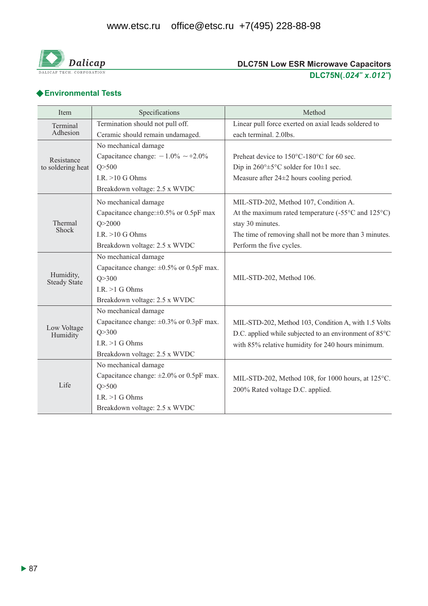

# ◆ Environmental Tests

| Item                             | Specifications                                | Method                                                                                 |  |  |  |
|----------------------------------|-----------------------------------------------|----------------------------------------------------------------------------------------|--|--|--|
| Terminal                         | Termination should not pull off.              | Linear pull force exerted on axial leads soldered to                                   |  |  |  |
| Adhesion                         | Ceramic should remain undamaged.              | each terminal. 2.0lbs.                                                                 |  |  |  |
| Resistance<br>to soldering heat  | No mechanical damage                          |                                                                                        |  |  |  |
|                                  | Capacitance change: $-1.0\% \sim +2.0\%$      | Preheat device to 150°C-180°C for 60 sec.                                              |  |  |  |
|                                  | Q > 500                                       | Dip in $260^{\circ} \pm 5^{\circ}$ C solder for $10 \pm 1$ sec.                        |  |  |  |
|                                  | I.R. $>10$ G Ohms                             | Measure after $24\pm 2$ hours cooling period.                                          |  |  |  |
|                                  | Breakdown voltage: 2.5 x WVDC                 |                                                                                        |  |  |  |
|                                  | No mechanical damage                          | MIL-STD-202, Method 107, Condition A.                                                  |  |  |  |
|                                  | Capacitance change: $\pm 0.5\%$ or 0.5pF max  | At the maximum rated temperature $(-55^{\circ}$ C and $125^{\circ}$ C)                 |  |  |  |
| Thermal<br>Shock                 | Q > 2000                                      | stay 30 minutes.                                                                       |  |  |  |
|                                  | I.R. $>10$ G Ohms                             | The time of removing shall not be more than 3 minutes.                                 |  |  |  |
|                                  | Breakdown voltage: 2.5 x WVDC                 | Perform the five cycles.                                                               |  |  |  |
|                                  | No mechanical damage                          |                                                                                        |  |  |  |
|                                  | Capacitance change: $\pm 0.5\%$ or 0.5pF max. | MIL-STD-202, Method 106.                                                               |  |  |  |
| Humidity,<br><b>Steady State</b> | Q > 300                                       |                                                                                        |  |  |  |
|                                  | I.R. $>1$ G Ohms                              |                                                                                        |  |  |  |
|                                  | Breakdown voltage: 2.5 x WVDC                 |                                                                                        |  |  |  |
|                                  | No mechanical damage                          |                                                                                        |  |  |  |
|                                  | Capacitance change: $\pm 0.3\%$ or 0.3pF max. | MIL-STD-202, Method 103, Condition A, with 1.5 Volts                                   |  |  |  |
| Low Voltage<br>Humidity          | Q > 300                                       | D.C. applied while subjected to an environment of 85°C                                 |  |  |  |
|                                  | I.R. $>1$ G Ohms                              | with 85% relative humidity for 240 hours minimum.                                      |  |  |  |
|                                  | Breakdown voltage: 2.5 x WVDC                 |                                                                                        |  |  |  |
| Life                             | No mechanical damage                          | MIL-STD-202, Method 108, for 1000 hours, at 125°C.<br>200% Rated voltage D.C. applied. |  |  |  |
|                                  | Capacitance change: $\pm 2.0\%$ or 0.5pF max. |                                                                                        |  |  |  |
|                                  | Q > 500                                       |                                                                                        |  |  |  |
|                                  | I.R. $>1$ G Ohms                              |                                                                                        |  |  |  |
|                                  | Breakdown voltage: 2.5 x WVDC                 |                                                                                        |  |  |  |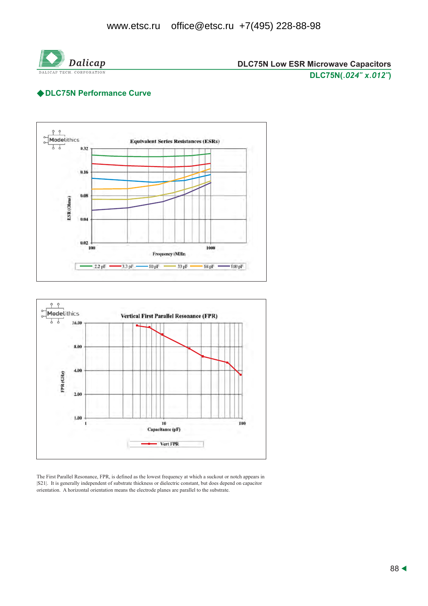

## ◆ DLC75N Performance Curve





The First Parallel Resonance, FPR, is defined as the lowest frequency at which a suckout or notch appears in [S21]. It is generally independent of substrate thickness or dielectric constant, but does depend on capacitor orientation. A horizontal orientation means the electrode planes are parallel to the substrate.